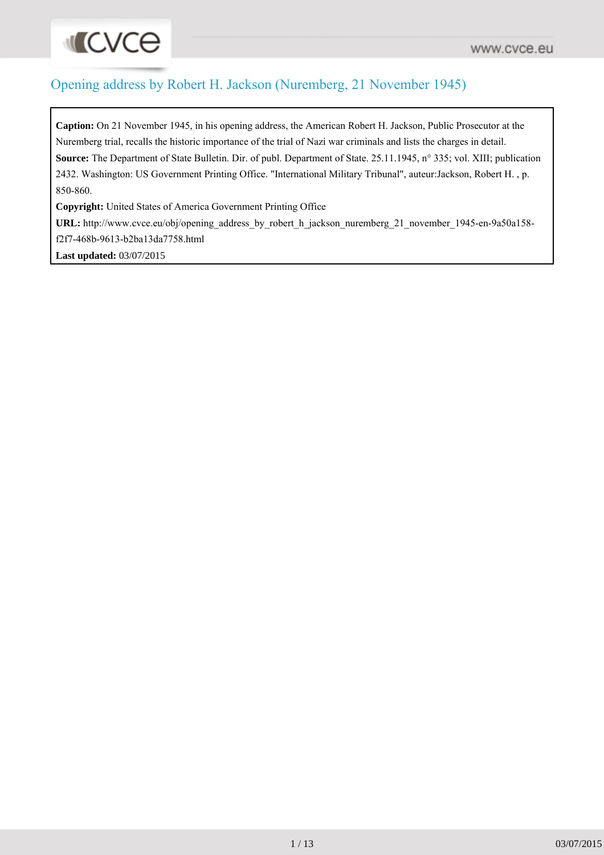## **INCVCe**

### Opening address by Robert H. Jackson (Nuremberg, 21 November 1945)

**Caption:** On 21 November 1945, in his opening address, the American Robert H. Jackson, Public Prosecutor at the Nuremberg trial, recalls the historic importance of the trial of Nazi war criminals and lists the charges in detail. **Source:** The Department of State Bulletin. Dir. of publ. Department of State. 25.11.1945, n° 335; vol. XIII; publication 2432. Washington: US Government Printing Office. "International Military Tribunal", auteur:Jackson, Robert H. , p. 850-860.

**Copyright:** United States of America Government Printing Office

URL: [http://www.cvce.eu/obj/opening\\_address\\_by\\_robert\\_h\\_jackson\\_nuremberg\\_21\\_november\\_1945-en-9a50a158-](http://www.cvce.eu/obj/opening_address_by_robert_h_jackson_nuremberg_21_november_1945-en-9a50a158-f2f7-468b-9613-b2ba13da7758.html)

[f2f7-468b-9613-b2ba13da7758.html](http://www.cvce.eu/obj/opening_address_by_robert_h_jackson_nuremberg_21_november_1945-en-9a50a158-f2f7-468b-9613-b2ba13da7758.html)

**Last updated:** 03/07/2015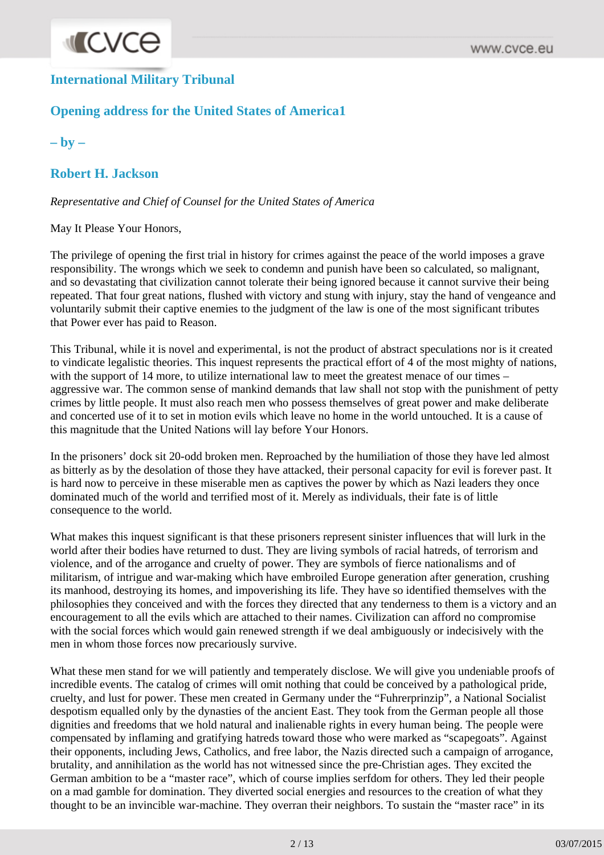#### **International Military Tribunal**

#### **Opening address for the United States of America1**

**– by –**

#### **Robert H. Jackson**

**INCVCe** 

#### *Representative and Chief of Counsel for the United States of America*

May It Please Your Honors,

The privilege of opening the first trial in history for crimes against the peace of the world imposes a grave responsibility. The wrongs which we seek to condemn and punish have been so calculated, so malignant, and so devastating that civilization cannot tolerate their being ignored because it cannot survive their being repeated. That four great nations, flushed with victory and stung with injury, stay the hand of vengeance and voluntarily submit their captive enemies to the judgment of the law is one of the most significant tributes that Power ever has paid to Reason.

This Tribunal, while it is novel and experimental, is not the product of abstract speculations nor is it created to vindicate legalistic theories. This inquest represents the practical effort of 4 of the most mighty of nations, with the support of 14 more, to utilize international law to meet the greatest menace of our times – aggressive war. The common sense of mankind demands that law shall not stop with the punishment of petty crimes by little people. It must also reach men who possess themselves of great power and make deliberate and concerted use of it to set in motion evils which leave no home in the world untouched. It is a cause of this magnitude that the United Nations will lay before Your Honors.

In the prisoners' dock sit 20-odd broken men. Reproached by the humiliation of those they have led almost as bitterly as by the desolation of those they have attacked, their personal capacity for evil is forever past. It is hard now to perceive in these miserable men as captives the power by which as Nazi leaders they once dominated much of the world and terrified most of it. Merely as individuals, their fate is of little consequence to the world.

What makes this inquest significant is that these prisoners represent sinister influences that will lurk in the world after their bodies have returned to dust. They are living symbols of racial hatreds, of terrorism and violence, and of the arrogance and cruelty of power. They are symbols of fierce nationalisms and of militarism, of intrigue and war-making which have embroiled Europe generation after generation, crushing its manhood, destroying its homes, and impoverishing its life. They have so identified themselves with the philosophies they conceived and with the forces they directed that any tenderness to them is a victory and an encouragement to all the evils which are attached to their names. Civilization can afford no compromise with the social forces which would gain renewed strength if we deal ambiguously or indecisively with the men in whom those forces now precariously survive.

What these men stand for we will patiently and temperately disclose. We will give you undeniable proofs of incredible events. The catalog of crimes will omit nothing that could be conceived by a pathological pride, cruelty, and lust for power. These men created in Germany under the "Fuhrerprinzip", a National Socialist despotism equalled only by the dynasties of the ancient East. They took from the German people all those dignities and freedoms that we hold natural and inalienable rights in every human being. The people were compensated by inflaming and gratifying hatreds toward those who were marked as "scapegoats". Against their opponents, including Jews, Catholics, and free labor, the Nazis directed such a campaign of arrogance, brutality, and annihilation as the world has not witnessed since the pre-Christian ages. They excited the German ambition to be a "master race", which of course implies serfdom for others. They led their people on a mad gamble for domination. They diverted social energies and resources to the creation of what they thought to be an invincible war-machine. They overran their neighbors. To sustain the "master race" in its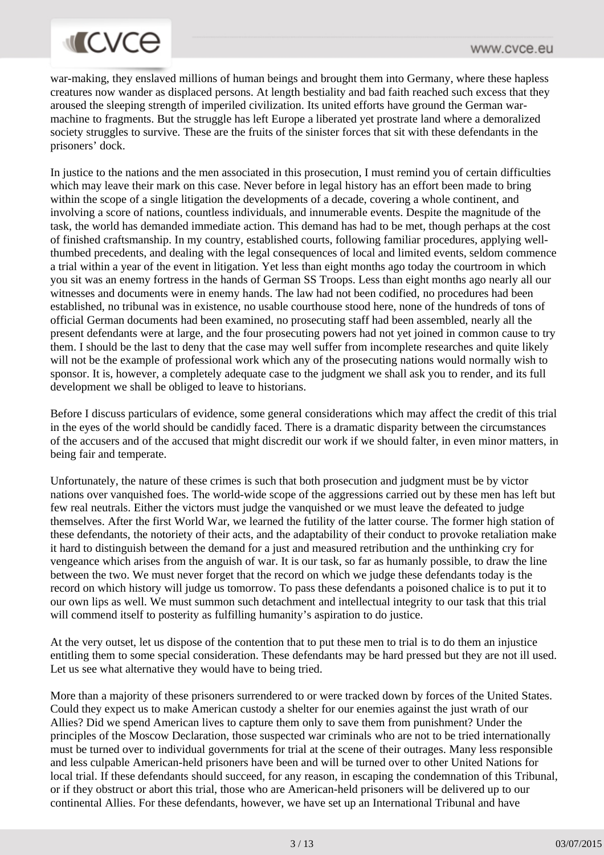## **MCVCe**

war-making, they enslaved millions of human beings and brought them into Germany, where these hapless creatures now wander as displaced persons. At length bestiality and bad faith reached such excess that they aroused the sleeping strength of imperiled civilization. Its united efforts have ground the German warmachine to fragments. But the struggle has left Europe a liberated yet prostrate land where a demoralized society struggles to survive. These are the fruits of the sinister forces that sit with these defendants in the prisoners' dock.

In justice to the nations and the men associated in this prosecution, I must remind you of certain difficulties which may leave their mark on this case. Never before in legal history has an effort been made to bring within the scope of a single litigation the developments of a decade, covering a whole continent, and involving a score of nations, countless individuals, and innumerable events. Despite the magnitude of the task, the world has demanded immediate action. This demand has had to be met, though perhaps at the cost of finished craftsmanship. In my country, established courts, following familiar procedures, applying wellthumbed precedents, and dealing with the legal consequences of local and limited events, seldom commence a trial within a year of the event in litigation. Yet less than eight months ago today the courtroom in which you sit was an enemy fortress in the hands of German SS Troops. Less than eight months ago nearly all our witnesses and documents were in enemy hands. The law had not been codified, no procedures had been established, no tribunal was in existence, no usable courthouse stood here, none of the hundreds of tons of official German documents had been examined, no prosecuting staff had been assembled, nearly all the present defendants were at large, and the four prosecuting powers had not yet joined in common cause to try them. I should be the last to deny that the case may well suffer from incomplete researches and quite likely will not be the example of professional work which any of the prosecuting nations would normally wish to sponsor. It is, however, a completely adequate case to the judgment we shall ask you to render, and its full development we shall be obliged to leave to historians.

Before I discuss particulars of evidence, some general considerations which may affect the credit of this trial in the eyes of the world should be candidly faced. There is a dramatic disparity between the circumstances of the accusers and of the accused that might discredit our work if we should falter, in even minor matters, in being fair and temperate.

Unfortunately, the nature of these crimes is such that both prosecution and judgment must be by victor nations over vanquished foes. The world-wide scope of the aggressions carried out by these men has left but few real neutrals. Either the victors must judge the vanquished or we must leave the defeated to judge themselves. After the first World War, we learned the futility of the latter course. The former high station of these defendants, the notoriety of their acts, and the adaptability of their conduct to provoke retaliation make it hard to distinguish between the demand for a just and measured retribution and the unthinking cry for vengeance which arises from the anguish of war. It is our task, so far as humanly possible, to draw the line between the two. We must never forget that the record on which we judge these defendants today is the record on which history will judge us tomorrow. To pass these defendants a poisoned chalice is to put it to our own lips as well. We must summon such detachment and intellectual integrity to our task that this trial will commend itself to posterity as fulfilling humanity's aspiration to do justice.

At the very outset, let us dispose of the contention that to put these men to trial is to do them an injustice entitling them to some special consideration. These defendants may be hard pressed but they are not ill used. Let us see what alternative they would have to being tried.

More than a majority of these prisoners surrendered to or were tracked down by forces of the United States. Could they expect us to make American custody a shelter for our enemies against the just wrath of our Allies? Did we spend American lives to capture them only to save them from punishment? Under the principles of the Moscow Declaration, those suspected war criminals who are not to be tried internationally must be turned over to individual governments for trial at the scene of their outrages. Many less responsible and less culpable American-held prisoners have been and will be turned over to other United Nations for local trial. If these defendants should succeed, for any reason, in escaping the condemnation of this Tribunal, or if they obstruct or abort this trial, those who are American-held prisoners will be delivered up to our continental Allies. For these defendants, however, we have set up an International Tribunal and have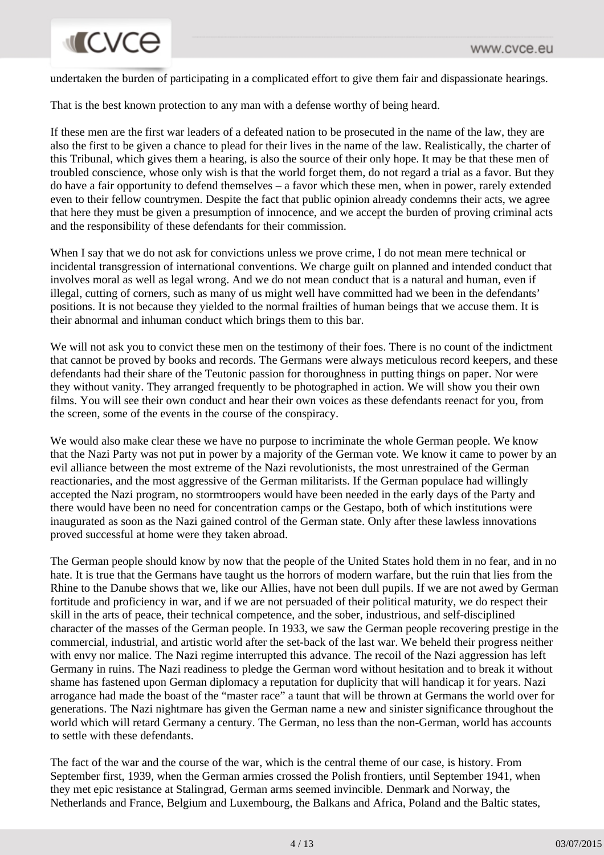undertaken the burden of participating in a complicated effort to give them fair and dispassionate hearings.

That is the best known protection to any man with a defense worthy of being heard.

If these men are the first war leaders of a defeated nation to be prosecuted in the name of the law, they are also the first to be given a chance to plead for their lives in the name of the law. Realistically, the charter of this Tribunal, which gives them a hearing, is also the source of their only hope. It may be that these men of troubled conscience, whose only wish is that the world forget them, do not regard a trial as a favor. But they do have a fair opportunity to defend themselves – a favor which these men, when in power, rarely extended even to their fellow countrymen. Despite the fact that public opinion already condemns their acts, we agree that here they must be given a presumption of innocence, and we accept the burden of proving criminal acts and the responsibility of these defendants for their commission.

When I say that we do not ask for convictions unless we prove crime, I do not mean mere technical or incidental transgression of international conventions. We charge guilt on planned and intended conduct that involves moral as well as legal wrong. And we do not mean conduct that is a natural and human, even if illegal, cutting of corners, such as many of us might well have committed had we been in the defendants' positions. It is not because they yielded to the normal frailties of human beings that we accuse them. It is their abnormal and inhuman conduct which brings them to this bar.

We will not ask you to convict these men on the testimony of their foes. There is no count of the indictment that cannot be proved by books and records. The Germans were always meticulous record keepers, and these defendants had their share of the Teutonic passion for thoroughness in putting things on paper. Nor were they without vanity. They arranged frequently to be photographed in action. We will show you their own films. You will see their own conduct and hear their own voices as these defendants reenact for you, from the screen, some of the events in the course of the conspiracy.

We would also make clear these we have no purpose to incriminate the whole German people. We know that the Nazi Party was not put in power by a majority of the German vote. We know it came to power by an evil alliance between the most extreme of the Nazi revolutionists, the most unrestrained of the German reactionaries, and the most aggressive of the German militarists. If the German populace had willingly accepted the Nazi program, no stormtroopers would have been needed in the early days of the Party and there would have been no need for concentration camps or the Gestapo, both of which institutions were inaugurated as soon as the Nazi gained control of the German state. Only after these lawless innovations proved successful at home were they taken abroad.

The German people should know by now that the people of the United States hold them in no fear, and in no hate. It is true that the Germans have taught us the horrors of modern warfare, but the ruin that lies from the Rhine to the Danube shows that we, like our Allies, have not been dull pupils. If we are not awed by German fortitude and proficiency in war, and if we are not persuaded of their political maturity, we do respect their skill in the arts of peace, their technical competence, and the sober, industrious, and self-disciplined character of the masses of the German people. In 1933, we saw the German people recovering prestige in the commercial, industrial, and artistic world after the set-back of the last war. We beheld their progress neither with envy nor malice. The Nazi regime interrupted this advance. The recoil of the Nazi aggression has left Germany in ruins. The Nazi readiness to pledge the German word without hesitation and to break it without shame has fastened upon German diplomacy a reputation for duplicity that will handicap it for years. Nazi arrogance had made the boast of the "master race" a taunt that will be thrown at Germans the world over for generations. The Nazi nightmare has given the German name a new and sinister significance throughout the world which will retard Germany a century. The German, no less than the non-German, world has accounts to settle with these defendants.

The fact of the war and the course of the war, which is the central theme of our case, is history. From September first, 1939, when the German armies crossed the Polish frontiers, until September 1941, when they met epic resistance at Stalingrad, German arms seemed invincible. Denmark and Norway, the Netherlands and France, Belgium and Luxembourg, the Balkans and Africa, Poland and the Baltic states,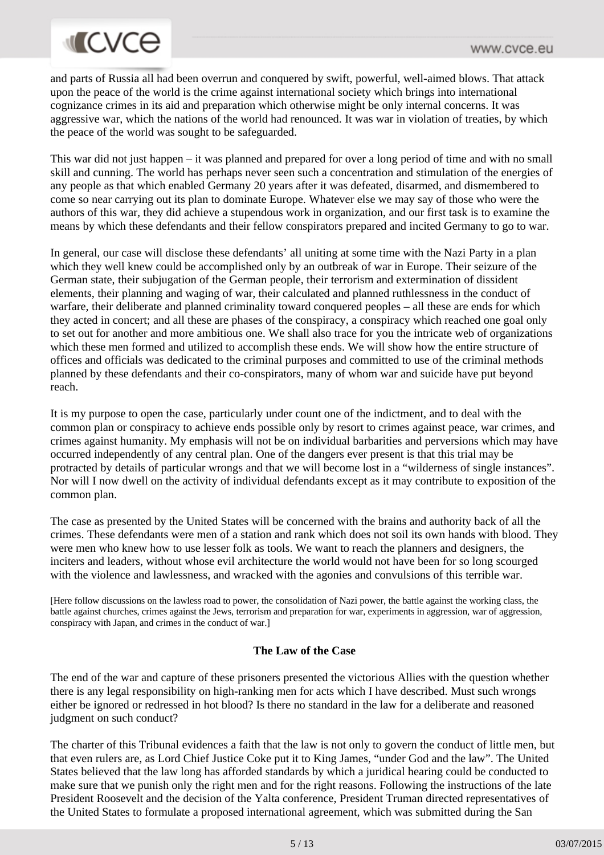## **MCVCe**

and parts of Russia all had been overrun and conquered by swift, powerful, well-aimed blows. That attack upon the peace of the world is the crime against international society which brings into international cognizance crimes in its aid and preparation which otherwise might be only internal concerns. It was aggressive war, which the nations of the world had renounced. It was war in violation of treaties, by which the peace of the world was sought to be safeguarded.

This war did not just happen – it was planned and prepared for over a long period of time and with no small skill and cunning. The world has perhaps never seen such a concentration and stimulation of the energies of any people as that which enabled Germany 20 years after it was defeated, disarmed, and dismembered to come so near carrying out its plan to dominate Europe. Whatever else we may say of those who were the authors of this war, they did achieve a stupendous work in organization, and our first task is to examine the means by which these defendants and their fellow conspirators prepared and incited Germany to go to war.

In general, our case will disclose these defendants' all uniting at some time with the Nazi Party in a plan which they well knew could be accomplished only by an outbreak of war in Europe. Their seizure of the German state, their subjugation of the German people, their terrorism and extermination of dissident elements, their planning and waging of war, their calculated and planned ruthlessness in the conduct of warfare, their deliberate and planned criminality toward conquered peoples – all these are ends for which they acted in concert; and all these are phases of the conspiracy, a conspiracy which reached one goal only to set out for another and more ambitious one. We shall also trace for you the intricate web of organizations which these men formed and utilized to accomplish these ends. We will show how the entire structure of offices and officials was dedicated to the criminal purposes and committed to use of the criminal methods planned by these defendants and their co-conspirators, many of whom war and suicide have put beyond reach.

It is my purpose to open the case, particularly under count one of the indictment, and to deal with the common plan or conspiracy to achieve ends possible only by resort to crimes against peace, war crimes, and crimes against humanity. My emphasis will not be on individual barbarities and perversions which may have occurred independently of any central plan. One of the dangers ever present is that this trial may be protracted by details of particular wrongs and that we will become lost in a "wilderness of single instances". Nor will I now dwell on the activity of individual defendants except as it may contribute to exposition of the common plan.

The case as presented by the United States will be concerned with the brains and authority back of all the crimes. These defendants were men of a station and rank which does not soil its own hands with blood. They were men who knew how to use lesser folk as tools. We want to reach the planners and designers, the inciters and leaders, without whose evil architecture the world would not have been for so long scourged with the violence and lawlessness, and wracked with the agonies and convulsions of this terrible war.

[Here follow discussions on the lawless road to power, the consolidation of Nazi power, the battle against the working class, the battle against churches, crimes against the Jews, terrorism and preparation for war, experiments in aggression, war of aggression, conspiracy with Japan, and crimes in the conduct of war.]

#### **The Law of the Case**

The end of the war and capture of these prisoners presented the victorious Allies with the question whether there is any legal responsibility on high-ranking men for acts which I have described. Must such wrongs either be ignored or redressed in hot blood? Is there no standard in the law for a deliberate and reasoned judgment on such conduct?

The charter of this Tribunal evidences a faith that the law is not only to govern the conduct of little men, but that even rulers are, as Lord Chief Justice Coke put it to King James, "under God and the law". The United States believed that the law long has afforded standards by which a juridical hearing could be conducted to make sure that we punish only the right men and for the right reasons. Following the instructions of the late President Roosevelt and the decision of the Yalta conference, President Truman directed representatives of the United States to formulate a proposed international agreement, which was submitted during the San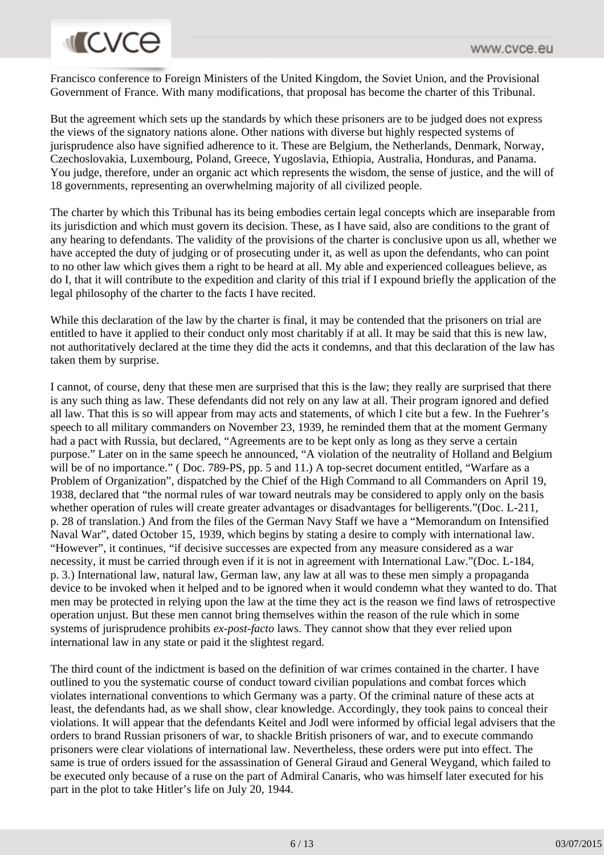Francisco conference to Foreign Ministers of the United Kingdom, the Soviet Union, and the Provisional Government of France. With many modifications, that proposal has become the charter of this Tribunal.

But the agreement which sets up the standards by which these prisoners are to be judged does not express the views of the signatory nations alone. Other nations with diverse but highly respected systems of jurisprudence also have signified adherence to it. These are Belgium, the Netherlands, Denmark, Norway, Czechoslovakia, Luxembourg, Poland, Greece, Yugoslavia, Ethiopia, Australia, Honduras, and Panama. You judge, therefore, under an organic act which represents the wisdom, the sense of justice, and the will of 18 governments, representing an overwhelming majority of all civilized people.

The charter by which this Tribunal has its being embodies certain legal concepts which are inseparable from its jurisdiction and which must govern its decision. These, as I have said, also are conditions to the grant of any hearing to defendants. The validity of the provisions of the charter is conclusive upon us all, whether we have accepted the duty of judging or of prosecuting under it, as well as upon the defendants, who can point to no other law which gives them a right to be heard at all. My able and experienced colleagues believe, as do I, that it will contribute to the expedition and clarity of this trial if I expound briefly the application of the legal philosophy of the charter to the facts I have recited.

While this declaration of the law by the charter is final, it may be contended that the prisoners on trial are entitled to have it applied to their conduct only most charitably if at all. It may be said that this is new law, not authoritatively declared at the time they did the acts it condemns, and that this declaration of the law has taken them by surprise.

I cannot, of course, deny that these men are surprised that this is the law; they really are surprised that there is any such thing as law. These defendants did not rely on any law at all. Their program ignored and defied all law. That this is so will appear from may acts and statements, of which I cite but a few. In the Fuehrer's speech to all military commanders on November 23, 1939, he reminded them that at the moment Germany had a pact with Russia, but declared, "Agreements are to be kept only as long as they serve a certain purpose." Later on in the same speech he announced, "A violation of the neutrality of Holland and Belgium will be of no importance." ( Doc. 789-PS, pp. 5 and 11.) A top-secret document entitled, "Warfare as a Problem of Organization", dispatched by the Chief of the High Command to all Commanders on April 19, 1938, declared that "the normal rules of war toward neutrals may be considered to apply only on the basis whether operation of rules will create greater advantages or disadvantages for belligerents."(Doc. L-211, p. 28 of translation.) And from the files of the German Navy Staff we have a "Memorandum on Intensified Naval War", dated October 15, 1939, which begins by stating a desire to comply with international law. "However", it continues, "if decisive successes are expected from any measure considered as a war necessity, it must be carried through even if it is not in agreement with International Law."(Doc. L-184, p. 3.) International law, natural law, German law, any law at all was to these men simply a propaganda device to be invoked when it helped and to be ignored when it would condemn what they wanted to do. That men may be protected in relying upon the law at the time they act is the reason we find laws of retrospective operation unjust. But these men cannot bring themselves within the reason of the rule which in some systems of jurisprudence prohibits *ex-post-facto* laws. They cannot show that they ever relied upon international law in any state or paid it the slightest regard.

The third count of the indictment is based on the definition of war crimes contained in the charter. I have outlined to you the systematic course of conduct toward civilian populations and combat forces which violates international conventions to which Germany was a party. Of the criminal nature of these acts at least, the defendants had, as we shall show, clear knowledge. Accordingly, they took pains to conceal their violations. It will appear that the defendants Keitel and Jodl were informed by official legal advisers that the orders to brand Russian prisoners of war, to shackle British prisoners of war, and to execute commando prisoners were clear violations of international law. Nevertheless, these orders were put into effect. The same is true of orders issued for the assassination of General Giraud and General Weygand, which failed to be executed only because of a ruse on the part of Admiral Canaris, who was himself later executed for his part in the plot to take Hitler's life on July 20, 1944.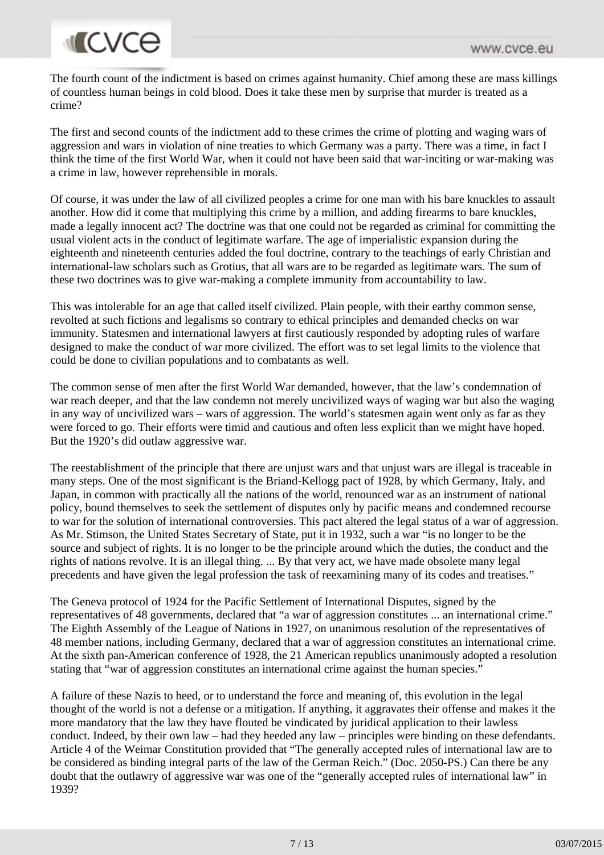The fourth count of the indictment is based on crimes against humanity. Chief among these are mass killings of countless human beings in cold blood. Does it take these men by surprise that murder is treated as a crime?

The first and second counts of the indictment add to these crimes the crime of plotting and waging wars of aggression and wars in violation of nine treaties to which Germany was a party. There was a time, in fact I think the time of the first World War, when it could not have been said that war-inciting or war-making was a crime in law, however reprehensible in morals.

Of course, it was under the law of all civilized peoples a crime for one man with his bare knuckles to assault another. How did it come that multiplying this crime by a million, and adding firearms to bare knuckles, made a legally innocent act? The doctrine was that one could not be regarded as criminal for committing the usual violent acts in the conduct of legitimate warfare. The age of imperialistic expansion during the eighteenth and nineteenth centuries added the foul doctrine, contrary to the teachings of early Christian and international-law scholars such as Grotius, that all wars are to be regarded as legitimate wars. The sum of these two doctrines was to give war-making a complete immunity from accountability to law.

This was intolerable for an age that called itself civilized. Plain people, with their earthy common sense, revolted at such fictions and legalisms so contrary to ethical principles and demanded checks on war immunity. Statesmen and international lawyers at first cautiously responded by adopting rules of warfare designed to make the conduct of war more civilized. The effort was to set legal limits to the violence that could be done to civilian populations and to combatants as well.

The common sense of men after the first World War demanded, however, that the law's condemnation of war reach deeper, and that the law condemn not merely uncivilized ways of waging war but also the waging in any way of uncivilized wars – wars of aggression. The world's statesmen again went only as far as they were forced to go. Their efforts were timid and cautious and often less explicit than we might have hoped. But the 1920's did outlaw aggressive war.

The reestablishment of the principle that there are unjust wars and that unjust wars are illegal is traceable in many steps. One of the most significant is the Briand-Kellogg pact of 1928, by which Germany, Italy, and Japan, in common with practically all the nations of the world, renounced war as an instrument of national policy, bound themselves to seek the settlement of disputes only by pacific means and condemned recourse to war for the solution of international controversies. This pact altered the legal status of a war of aggression. As Mr. Stimson, the United States Secretary of State, put it in 1932, such a war "is no longer to be the source and subject of rights. It is no longer to be the principle around which the duties, the conduct and the rights of nations revolve. It is an illegal thing. ... By that very act, we have made obsolete many legal precedents and have given the legal profession the task of reexamining many of its codes and treatises."

The Geneva protocol of 1924 for the Pacific Settlement of International Disputes, signed by the representatives of 48 governments, declared that "a war of aggression constitutes ... an international crime." The Eighth Assembly of the League of Nations in 1927, on unanimous resolution of the representatives of 48 member nations, including Germany, declared that a war of aggression constitutes an international crime. At the sixth pan-American conference of 1928, the 21 American republics unanimously adopted a resolution stating that "war of aggression constitutes an international crime against the human species."

A failure of these Nazis to heed, or to understand the force and meaning of, this evolution in the legal thought of the world is not a defense or a mitigation. If anything, it aggravates their offense and makes it the more mandatory that the law they have flouted be vindicated by juridical application to their lawless conduct. Indeed, by their own law – had they heeded any law – principles were binding on these defendants. Article 4 of the Weimar Constitution provided that "The generally accepted rules of international law are to be considered as binding integral parts of the law of the German Reich." (Doc. 2050-PS.) Can there be any doubt that the outlawry of aggressive war was one of the "generally accepted rules of international law" in 1939?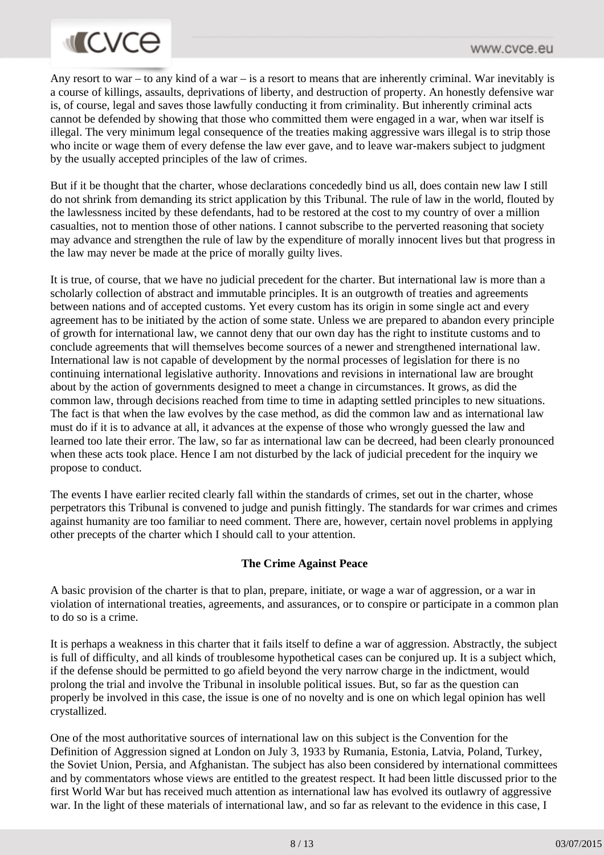

Any resort to war – to any kind of a war – is a resort to means that are inherently criminal. War inevitably is a course of killings, assaults, deprivations of liberty, and destruction of property. An honestly defensive war is, of course, legal and saves those lawfully conducting it from criminality. But inherently criminal acts cannot be defended by showing that those who committed them were engaged in a war, when war itself is illegal. The very minimum legal consequence of the treaties making aggressive wars illegal is to strip those who incite or wage them of every defense the law ever gave, and to leave war-makers subject to judgment by the usually accepted principles of the law of crimes.

But if it be thought that the charter, whose declarations concededly bind us all, does contain new law I still do not shrink from demanding its strict application by this Tribunal. The rule of law in the world, flouted by the lawlessness incited by these defendants, had to be restored at the cost to my country of over a million casualties, not to mention those of other nations. I cannot subscribe to the perverted reasoning that society may advance and strengthen the rule of law by the expenditure of morally innocent lives but that progress in the law may never be made at the price of morally guilty lives.

It is true, of course, that we have no judicial precedent for the charter. But international law is more than a scholarly collection of abstract and immutable principles. It is an outgrowth of treaties and agreements between nations and of accepted customs. Yet every custom has its origin in some single act and every agreement has to be initiated by the action of some state. Unless we are prepared to abandon every principle of growth for international law, we cannot deny that our own day has the right to institute customs and to conclude agreements that will themselves become sources of a newer and strengthened international law. International law is not capable of development by the normal processes of legislation for there is no continuing international legislative authority. Innovations and revisions in international law are brought about by the action of governments designed to meet a change in circumstances. It grows, as did the common law, through decisions reached from time to time in adapting settled principles to new situations. The fact is that when the law evolves by the case method, as did the common law and as international law must do if it is to advance at all, it advances at the expense of those who wrongly guessed the law and learned too late their error. The law, so far as international law can be decreed, had been clearly pronounced when these acts took place. Hence I am not disturbed by the lack of judicial precedent for the inquiry we propose to conduct.

The events I have earlier recited clearly fall within the standards of crimes, set out in the charter, whose perpetrators this Tribunal is convened to judge and punish fittingly. The standards for war crimes and crimes against humanity are too familiar to need comment. There are, however, certain novel problems in applying other precepts of the charter which I should call to your attention.

#### **The Crime Against Peace**

A basic provision of the charter is that to plan, prepare, initiate, or wage a war of aggression, or a war in violation of international treaties, agreements, and assurances, or to conspire or participate in a common plan to do so is a crime.

It is perhaps a weakness in this charter that it fails itself to define a war of aggression. Abstractly, the subject is full of difficulty, and all kinds of troublesome hypothetical cases can be conjured up. It is a subject which, if the defense should be permitted to go afield beyond the very narrow charge in the indictment, would prolong the trial and involve the Tribunal in insoluble political issues. But, so far as the question can properly be involved in this case, the issue is one of no novelty and is one on which legal opinion has well crystallized.

One of the most authoritative sources of international law on this subject is the Convention for the Definition of Aggression signed at London on July 3, 1933 by Rumania, Estonia, Latvia, Poland, Turkey, the Soviet Union, Persia, and Afghanistan. The subject has also been considered by international committees and by commentators whose views are entitled to the greatest respect. It had been little discussed prior to the first World War but has received much attention as international law has evolved its outlawry of aggressive war. In the light of these materials of international law, and so far as relevant to the evidence in this case, I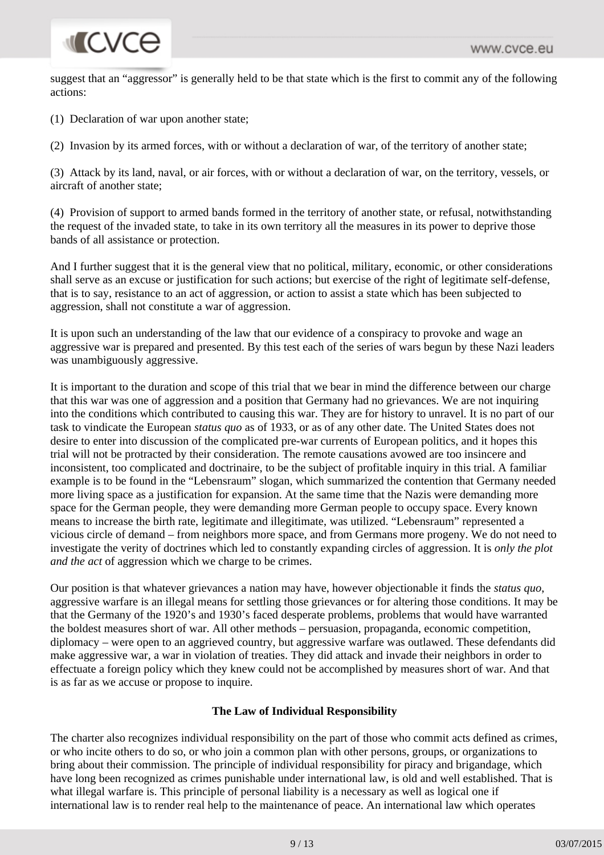suggest that an "aggressor" is generally held to be that state which is the first to commit any of the following actions:

(1) Declaration of war upon another state;

(2) Invasion by its armed forces, with or without a declaration of war, of the territory of another state;

(3) Attack by its land, naval, or air forces, with or without a declaration of war, on the territory, vessels, or aircraft of another state;

(4) Provision of support to armed bands formed in the territory of another state, or refusal, notwithstanding the request of the invaded state, to take in its own territory all the measures in its power to deprive those bands of all assistance or protection.

And I further suggest that it is the general view that no political, military, economic, or other considerations shall serve as an excuse or justification for such actions; but exercise of the right of legitimate self-defense, that is to say, resistance to an act of aggression, or action to assist a state which has been subjected to aggression, shall not constitute a war of aggression.

It is upon such an understanding of the law that our evidence of a conspiracy to provoke and wage an aggressive war is prepared and presented. By this test each of the series of wars begun by these Nazi leaders was unambiguously aggressive.

It is important to the duration and scope of this trial that we bear in mind the difference between our charge that this war was one of aggression and a position that Germany had no grievances. We are not inquiring into the conditions which contributed to causing this war. They are for history to unravel. It is no part of our task to vindicate the European *status quo* as of 1933, or as of any other date. The United States does not desire to enter into discussion of the complicated pre-war currents of European politics, and it hopes this trial will not be protracted by their consideration. The remote causations avowed are too insincere and inconsistent, too complicated and doctrinaire, to be the subject of profitable inquiry in this trial. A familiar example is to be found in the "Lebensraum" slogan, which summarized the contention that Germany needed more living space as a justification for expansion. At the same time that the Nazis were demanding more space for the German people, they were demanding more German people to occupy space. Every known means to increase the birth rate, legitimate and illegitimate, was utilized. "Lebensraum" represented a vicious circle of demand – from neighbors more space, and from Germans more progeny. We do not need to investigate the verity of doctrines which led to constantly expanding circles of aggression. It is *only the plot and the act* of aggression which we charge to be crimes.

Our position is that whatever grievances a nation may have, however objectionable it finds the *status quo*, aggressive warfare is an illegal means for settling those grievances or for altering those conditions. It may be that the Germany of the 1920's and 1930's faced desperate problems, problems that would have warranted the boldest measures short of war. All other methods – persuasion, propaganda, economic competition, diplomacy – were open to an aggrieved country, but aggressive warfare was outlawed. These defendants did make aggressive war, a war in violation of treaties. They did attack and invade their neighbors in order to effectuate a foreign policy which they knew could not be accomplished by measures short of war. And that is as far as we accuse or propose to inquire.

#### **The Law of Individual Responsibility**

The charter also recognizes individual responsibility on the part of those who commit acts defined as crimes, or who incite others to do so, or who join a common plan with other persons, groups, or organizations to bring about their commission. The principle of individual responsibility for piracy and brigandage, which have long been recognized as crimes punishable under international law, is old and well established. That is what illegal warfare is. This principle of personal liability is a necessary as well as logical one if international law is to render real help to the maintenance of peace. An international law which operates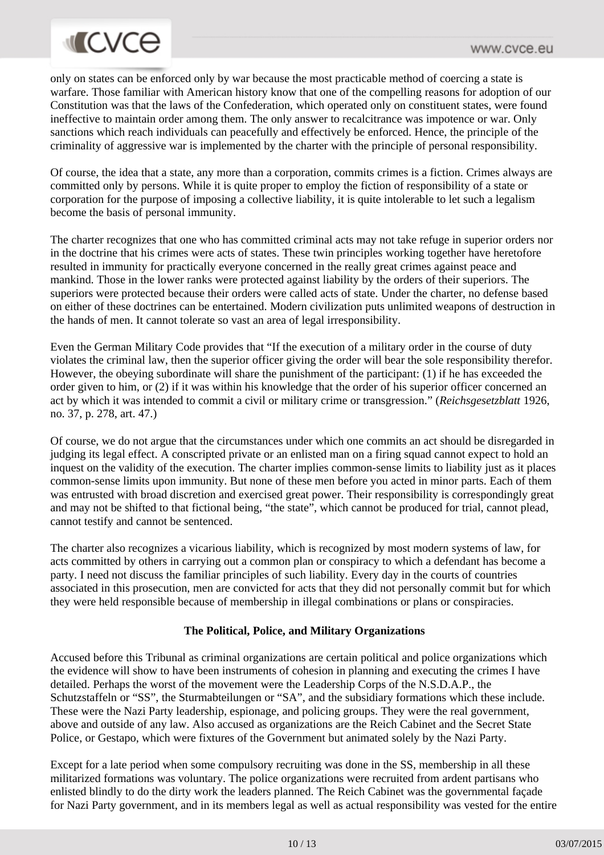## **INCVCe**

only on states can be enforced only by war because the most practicable method of coercing a state is warfare. Those familiar with American history know that one of the compelling reasons for adoption of our Constitution was that the laws of the Confederation, which operated only on constituent states, were found ineffective to maintain order among them. The only answer to recalcitrance was impotence or war. Only sanctions which reach individuals can peacefully and effectively be enforced. Hence, the principle of the criminality of aggressive war is implemented by the charter with the principle of personal responsibility.

Of course, the idea that a state, any more than a corporation, commits crimes is a fiction. Crimes always are committed only by persons. While it is quite proper to employ the fiction of responsibility of a state or corporation for the purpose of imposing a collective liability, it is quite intolerable to let such a legalism become the basis of personal immunity.

The charter recognizes that one who has committed criminal acts may not take refuge in superior orders nor in the doctrine that his crimes were acts of states. These twin principles working together have heretofore resulted in immunity for practically everyone concerned in the really great crimes against peace and mankind. Those in the lower ranks were protected against liability by the orders of their superiors. The superiors were protected because their orders were called acts of state. Under the charter, no defense based on either of these doctrines can be entertained. Modern civilization puts unlimited weapons of destruction in the hands of men. It cannot tolerate so vast an area of legal irresponsibility.

Even the German Military Code provides that "If the execution of a military order in the course of duty violates the criminal law, then the superior officer giving the order will bear the sole responsibility therefor. However, the obeying subordinate will share the punishment of the participant: (1) if he has exceeded the order given to him, or (2) if it was within his knowledge that the order of his superior officer concerned an act by which it was intended to commit a civil or military crime or transgression." (*Reichsgesetzblatt* 1926, no. 37, p. 278, art. 47.)

Of course, we do not argue that the circumstances under which one commits an act should be disregarded in judging its legal effect. A conscripted private or an enlisted man on a firing squad cannot expect to hold an inquest on the validity of the execution. The charter implies common-sense limits to liability just as it places common-sense limits upon immunity. But none of these men before you acted in minor parts. Each of them was entrusted with broad discretion and exercised great power. Their responsibility is correspondingly great and may not be shifted to that fictional being, "the state", which cannot be produced for trial, cannot plead, cannot testify and cannot be sentenced.

The charter also recognizes a vicarious liability, which is recognized by most modern systems of law, for acts committed by others in carrying out a common plan or conspiracy to which a defendant has become a party. I need not discuss the familiar principles of such liability. Every day in the courts of countries associated in this prosecution, men are convicted for acts that they did not personally commit but for which they were held responsible because of membership in illegal combinations or plans or conspiracies.

#### **The Political, Police, and Military Organizations**

Accused before this Tribunal as criminal organizations are certain political and police organizations which the evidence will show to have been instruments of cohesion in planning and executing the crimes I have detailed. Perhaps the worst of the movement were the Leadership Corps of the N.S.D.A.P., the Schutzstaffeln or "SS", the Sturmabteilungen or "SA", and the subsidiary formations which these include. These were the Nazi Party leadership, espionage, and policing groups. They were the real government, above and outside of any law. Also accused as organizations are the Reich Cabinet and the Secret State Police, or Gestapo, which were fixtures of the Government but animated solely by the Nazi Party.

Except for a late period when some compulsory recruiting was done in the SS, membership in all these militarized formations was voluntary. The police organizations were recruited from ardent partisans who enlisted blindly to do the dirty work the leaders planned. The Reich Cabinet was the governmental façade for Nazi Party government, and in its members legal as well as actual responsibility was vested for the entire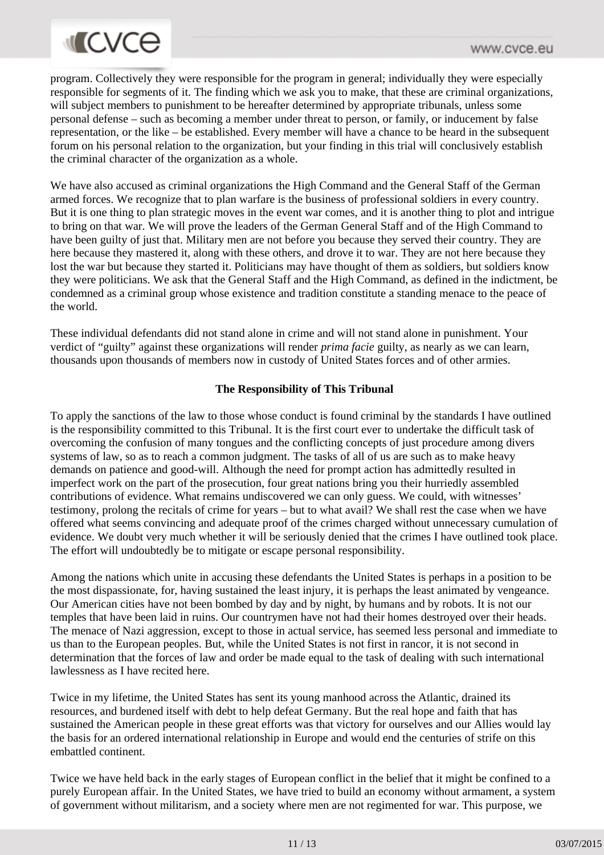program. Collectively they were responsible for the program in general; individually they were especially responsible for segments of it. The finding which we ask you to make, that these are criminal organizations, will subject members to punishment to be hereafter determined by appropriate tribunals, unless some personal defense – such as becoming a member under threat to person, or family, or inducement by false representation, or the like – be established. Every member will have a chance to be heard in the subsequent forum on his personal relation to the organization, but your finding in this trial will conclusively establish the criminal character of the organization as a whole.

We have also accused as criminal organizations the High Command and the General Staff of the German armed forces. We recognize that to plan warfare is the business of professional soldiers in every country. But it is one thing to plan strategic moves in the event war comes, and it is another thing to plot and intrigue to bring on that war. We will prove the leaders of the German General Staff and of the High Command to have been guilty of just that. Military men are not before you because they served their country. They are here because they mastered it, along with these others, and drove it to war. They are not here because they lost the war but because they started it. Politicians may have thought of them as soldiers, but soldiers know they were politicians. We ask that the General Staff and the High Command, as defined in the indictment, be condemned as a criminal group whose existence and tradition constitute a standing menace to the peace of the world.

These individual defendants did not stand alone in crime and will not stand alone in punishment. Your verdict of "guilty" against these organizations will render *prima facie* guilty, as nearly as we can learn, thousands upon thousands of members now in custody of United States forces and of other armies.

#### **The Responsibility of This Tribunal**

To apply the sanctions of the law to those whose conduct is found criminal by the standards I have outlined is the responsibility committed to this Tribunal. It is the first court ever to undertake the difficult task of overcoming the confusion of many tongues and the conflicting concepts of just procedure among divers systems of law, so as to reach a common judgment. The tasks of all of us are such as to make heavy demands on patience and good-will. Although the need for prompt action has admittedly resulted in imperfect work on the part of the prosecution, four great nations bring you their hurriedly assembled contributions of evidence. What remains undiscovered we can only guess. We could, with witnesses' testimony, prolong the recitals of crime for years – but to what avail? We shall rest the case when we have offered what seems convincing and adequate proof of the crimes charged without unnecessary cumulation of evidence. We doubt very much whether it will be seriously denied that the crimes I have outlined took place. The effort will undoubtedly be to mitigate or escape personal responsibility.

Among the nations which unite in accusing these defendants the United States is perhaps in a position to be the most dispassionate, for, having sustained the least injury, it is perhaps the least animated by vengeance. Our American cities have not been bombed by day and by night, by humans and by robots. It is not our temples that have been laid in ruins. Our countrymen have not had their homes destroyed over their heads. The menace of Nazi aggression, except to those in actual service, has seemed less personal and immediate to us than to the European peoples. But, while the United States is not first in rancor, it is not second in determination that the forces of law and order be made equal to the task of dealing with such international lawlessness as I have recited here.

Twice in my lifetime, the United States has sent its young manhood across the Atlantic, drained its resources, and burdened itself with debt to help defeat Germany. But the real hope and faith that has sustained the American people in these great efforts was that victory for ourselves and our Allies would lay the basis for an ordered international relationship in Europe and would end the centuries of strife on this embattled continent.

Twice we have held back in the early stages of European conflict in the belief that it might be confined to a purely European affair. In the United States, we have tried to build an economy without armament, a system of government without militarism, and a society where men are not regimented for war. This purpose, we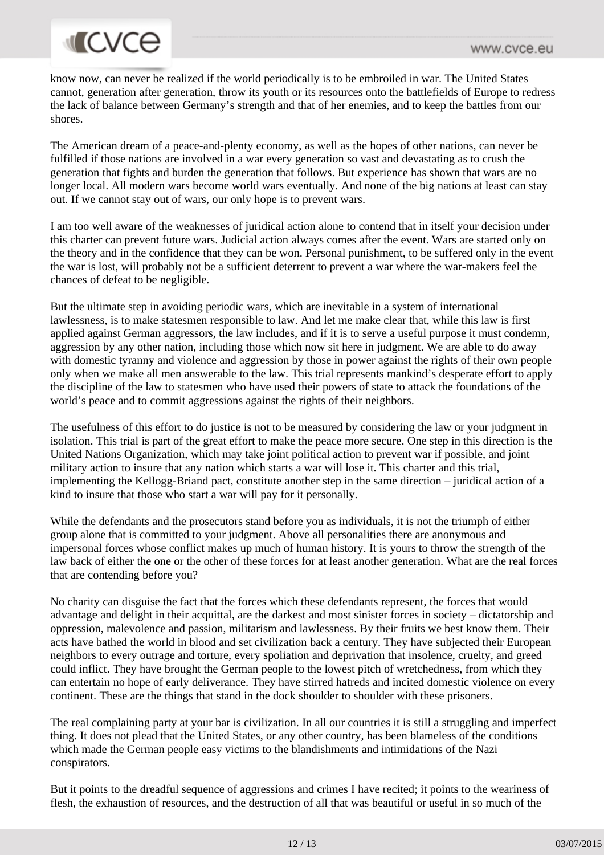# **INCVCE**

know now, can never be realized if the world periodically is to be embroiled in war. The United States cannot, generation after generation, throw its youth or its resources onto the battlefields of Europe to redress the lack of balance between Germany's strength and that of her enemies, and to keep the battles from our shores.

The American dream of a peace-and-plenty economy, as well as the hopes of other nations, can never be fulfilled if those nations are involved in a war every generation so vast and devastating as to crush the generation that fights and burden the generation that follows. But experience has shown that wars are no longer local. All modern wars become world wars eventually. And none of the big nations at least can stay out. If we cannot stay out of wars, our only hope is to prevent wars.

I am too well aware of the weaknesses of juridical action alone to contend that in itself your decision under this charter can prevent future wars. Judicial action always comes after the event. Wars are started only on the theory and in the confidence that they can be won. Personal punishment, to be suffered only in the event the war is lost, will probably not be a sufficient deterrent to prevent a war where the war-makers feel the chances of defeat to be negligible.

But the ultimate step in avoiding periodic wars, which are inevitable in a system of international lawlessness, is to make statesmen responsible to law. And let me make clear that, while this law is first applied against German aggressors, the law includes, and if it is to serve a useful purpose it must condemn, aggression by any other nation, including those which now sit here in judgment. We are able to do away with domestic tyranny and violence and aggression by those in power against the rights of their own people only when we make all men answerable to the law. This trial represents mankind's desperate effort to apply the discipline of the law to statesmen who have used their powers of state to attack the foundations of the world's peace and to commit aggressions against the rights of their neighbors.

The usefulness of this effort to do justice is not to be measured by considering the law or your judgment in isolation. This trial is part of the great effort to make the peace more secure. One step in this direction is the United Nations Organization, which may take joint political action to prevent war if possible, and joint military action to insure that any nation which starts a war will lose it. This charter and this trial, implementing the Kellogg-Briand pact, constitute another step in the same direction – juridical action of a kind to insure that those who start a war will pay for it personally.

While the defendants and the prosecutors stand before you as individuals, it is not the triumph of either group alone that is committed to your judgment. Above all personalities there are anonymous and impersonal forces whose conflict makes up much of human history. It is yours to throw the strength of the law back of either the one or the other of these forces for at least another generation. What are the real forces that are contending before you?

No charity can disguise the fact that the forces which these defendants represent, the forces that would advantage and delight in their acquittal, are the darkest and most sinister forces in society – dictatorship and oppression, malevolence and passion, militarism and lawlessness. By their fruits we best know them. Their acts have bathed the world in blood and set civilization back a century. They have subjected their European neighbors to every outrage and torture, every spoliation and deprivation that insolence, cruelty, and greed could inflict. They have brought the German people to the lowest pitch of wretchedness, from which they can entertain no hope of early deliverance. They have stirred hatreds and incited domestic violence on every continent. These are the things that stand in the dock shoulder to shoulder with these prisoners.

The real complaining party at your bar is civilization. In all our countries it is still a struggling and imperfect thing. It does not plead that the United States, or any other country, has been blameless of the conditions which made the German people easy victims to the blandishments and intimidations of the Nazi conspirators.

But it points to the dreadful sequence of aggressions and crimes I have recited; it points to the weariness of flesh, the exhaustion of resources, and the destruction of all that was beautiful or useful in so much of the